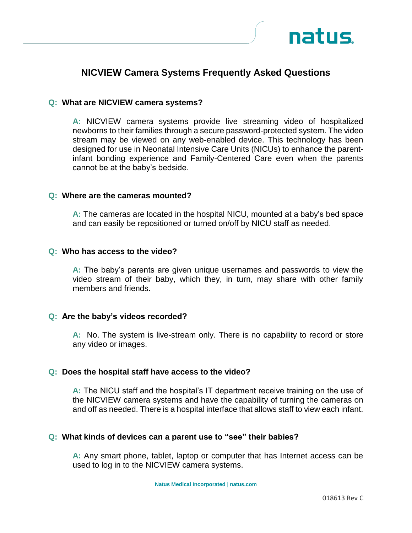

# **NICVIEW Camera Systems Frequently Asked Questions**

### **Q: What are NICVIEW camera systems?**

**A:** NICVIEW camera systems provide live streaming video of hospitalized newborns to their families through a secure password-protected system. The video stream may be viewed on any web-enabled device. This technology has been designed for use in Neonatal Intensive Care Units (NICUs) to enhance the parentinfant bonding experience and Family-Centered Care even when the parents cannot be at the baby's bedside.

#### **Q: Where are the cameras mounted?**

**A:** The cameras are located in the hospital NICU, mounted at a baby's bed space and can easily be repositioned or turned on/off by NICU staff as needed.

#### **Q: Who has access to the video?**

**A:** The baby's parents are given unique usernames and passwords to view the video stream of their baby, which they, in turn, may share with other family members and friends.

### **Q: Are the baby's videos recorded?**

**A:** No. The system is live-stream only. There is no capability to record or store any video or images.

### **Q: Does the hospital staff have access to the video?**

**A:** The NICU staff and the hospital's IT department receive training on the use of the NICVIEW camera systems and have the capability of turning the cameras on and off as needed. There is a hospital interface that allows staff to view each infant.

### **Q: What kinds of devices can a parent use to "see" their babies?**

**A:** Any smart phone, tablet, laptop or computer that has Internet access can be used to log in to the NICVIEW camera systems.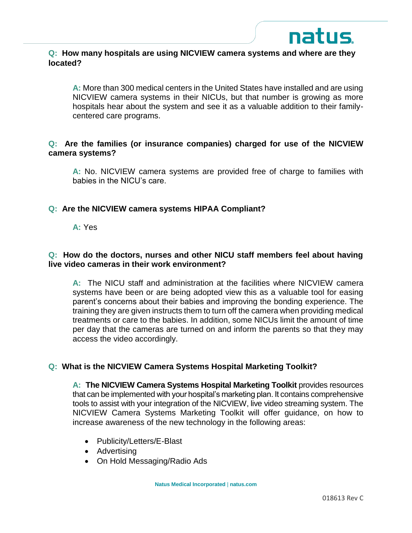

# **Q: How many hospitals are using NICVIEW camera systems and where are they located?**

**A:** More than 300 medical centers in the United States have installed and are using NICVIEW camera systems in their NICUs, but that number is growing as more hospitals hear about the system and see it as a valuable addition to their familycentered care programs.

# **Q: Are the families (or insurance companies) charged for use of the NICVIEW camera systems?**

**A:** No. NICVIEW camera systems are provided free of charge to families with babies in the NICU's care.

# **Q: Are the NICVIEW camera systems HIPAA Compliant?**

**A:** Yes

# **Q: How do the doctors, nurses and other NICU staff members feel about having live video cameras in their work environment?**

**A:** The NICU staff and administration at the facilities where NICVIEW camera systems have been or are being adopted view this as a valuable tool for easing parent's concerns about their babies and improving the bonding experience. The training they are given instructs them to turn off the camera when providing medical treatments or care to the babies. In addition, some NICUs limit the amount of time per day that the cameras are turned on and inform the parents so that they may access the video accordingly.

# **Q: What is the NICVIEW Camera Systems Hospital Marketing Toolkit?**

**A: The NICVIEW Camera Systems Hospital Marketing Toolkit** provides resources that can be implemented with your hospital's marketing plan. It contains comprehensive tools to assist with your integration of the NICVIEW, live video streaming system. The NICVIEW Camera Systems Marketing Toolkit will offer guidance, on how to increase awareness of the new technology in the following areas:

- Publicity/Letters/E-Blast
- Advertising
- On Hold Messaging/Radio Ads